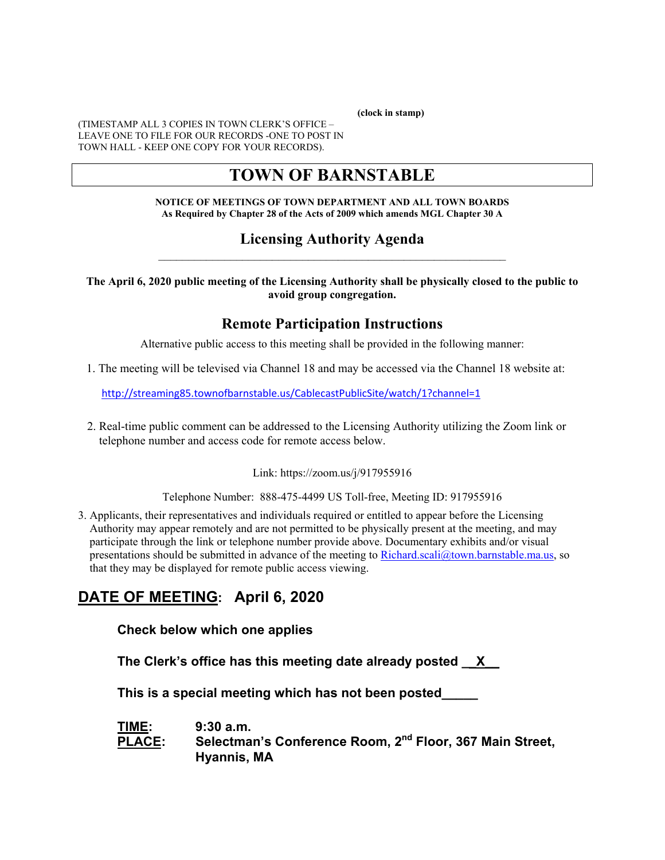**(clock in stamp)** 

(TIMESTAMP ALL 3 COPIES IN TOWN CLERK'S OFFICE – LEAVE ONE TO FILE FOR OUR RECORDS -ONE TO POST IN TOWN HALL - KEEP ONE COPY FOR YOUR RECORDS).

# **TOWN OF BARNSTABLE**

**NOTICE OF MEETINGS OF TOWN DEPARTMENT AND ALL TOWN BOARDS As Required by Chapter 28 of the Acts of 2009 which amends MGL Chapter 30 A** 

#### **Licensing Authority Agenda**  $\mathcal{L}_\text{max} = \mathcal{L}_\text{max} = \mathcal{L}_\text{max} = \mathcal{L}_\text{max} = \mathcal{L}_\text{max} = \mathcal{L}_\text{max} = \mathcal{L}_\text{max} = \mathcal{L}_\text{max} = \mathcal{L}_\text{max} = \mathcal{L}_\text{max} = \mathcal{L}_\text{max} = \mathcal{L}_\text{max} = \mathcal{L}_\text{max} = \mathcal{L}_\text{max} = \mathcal{L}_\text{max} = \mathcal{L}_\text{max} = \mathcal{L}_\text{max} = \mathcal{L}_\text{max} = \mathcal{$

**The April 6, 2020 public meeting of the Licensing Authority shall be physically closed to the public to avoid group congregation.** 

## **Remote Participation Instructions**

Alternative public access to this meeting shall be provided in the following manner:

1. The meeting will be televised via Channel 18 and may be accessed via the Channel 18 website at:

http://streaming85.townofbarnstable.us/CablecastPublicSite/watch/1?channel=1

 2. Real-time public comment can be addressed to the Licensing Authority utilizing the Zoom link or telephone number and access code for remote access below.

Link: https://zoom.us/j/917955916

Telephone Number: 888-475-4499 US Toll-free, Meeting ID: 917955916

3. Applicants, their representatives and individuals required or entitled to appear before the Licensing Authority may appear remotely and are not permitted to be physically present at the meeting, and may participate through the link or telephone number provide above. Documentary exhibits and/or visual presentations should be submitted in advance of the meeting to Richard.scali@town.barnstable.ma.us, so that they may be displayed for remote public access viewing.

# **DATE OF MEETING: April 6, 2020**

**Check below which one applies** 

**The Clerk's office has this meeting date already posted \_\_X\_\_** 

 **This is a special meeting which has not been posted\_\_\_\_\_** 

**TIME: 9:30 a.m. PLACE: Selectman's Conference Room, 2nd Floor, 367 Main Street, Hyannis, MA**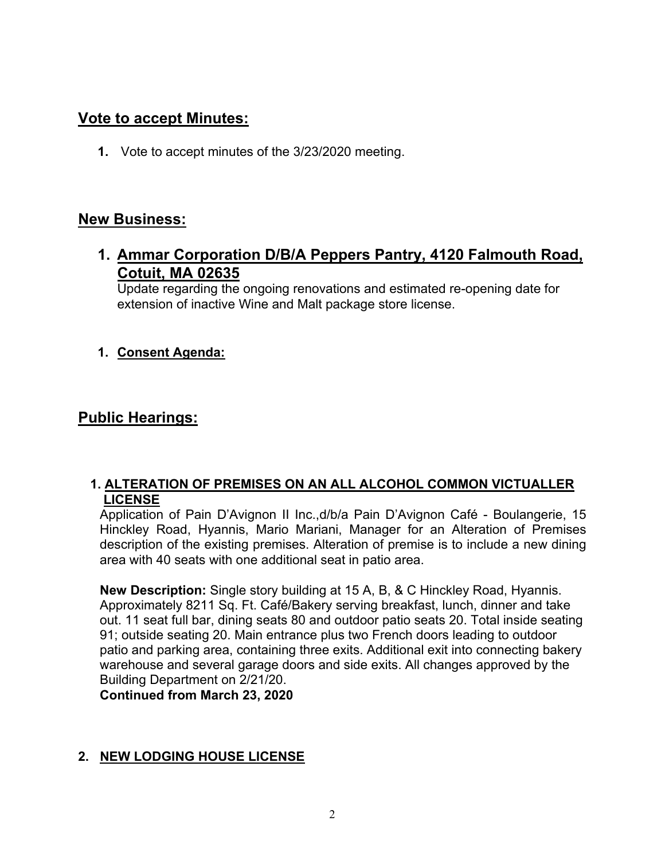## **Vote to accept Minutes:**

**1.** Vote to accept minutes of the 3/23/2020 meeting.

## **New Business:**

**1. Ammar Corporation D/B/A Peppers Pantry, 4120 Falmouth Road, Cotuit, MA 02635** 

Update regarding the ongoing renovations and estimated re-opening date for extension of inactive Wine and Malt package store license.

## **1. Consent Agenda:**

## **Public Hearings:**

### **1. ALTERATION OF PREMISES ON AN ALL ALCOHOL COMMON VICTUALLER LICENSE**

Application of Pain D'Avignon II Inc.,d/b/a Pain D'Avignon Café - Boulangerie, 15 Hinckley Road, Hyannis, Mario Mariani, Manager for an Alteration of Premises description of the existing premises. Alteration of premise is to include a new dining area with 40 seats with one additional seat in patio area.

**New Description:** Single story building at 15 A, B, & C Hinckley Road, Hyannis. Approximately 8211 Sq. Ft. Café/Bakery serving breakfast, lunch, dinner and take out. 11 seat full bar, dining seats 80 and outdoor patio seats 20. Total inside seating 91; outside seating 20. Main entrance plus two French doors leading to outdoor patio and parking area, containing three exits. Additional exit into connecting bakery warehouse and several garage doors and side exits. All changes approved by the Building Department on 2/21/20.

**Continued from March 23, 2020** 

## **2. NEW LODGING HOUSE LICENSE**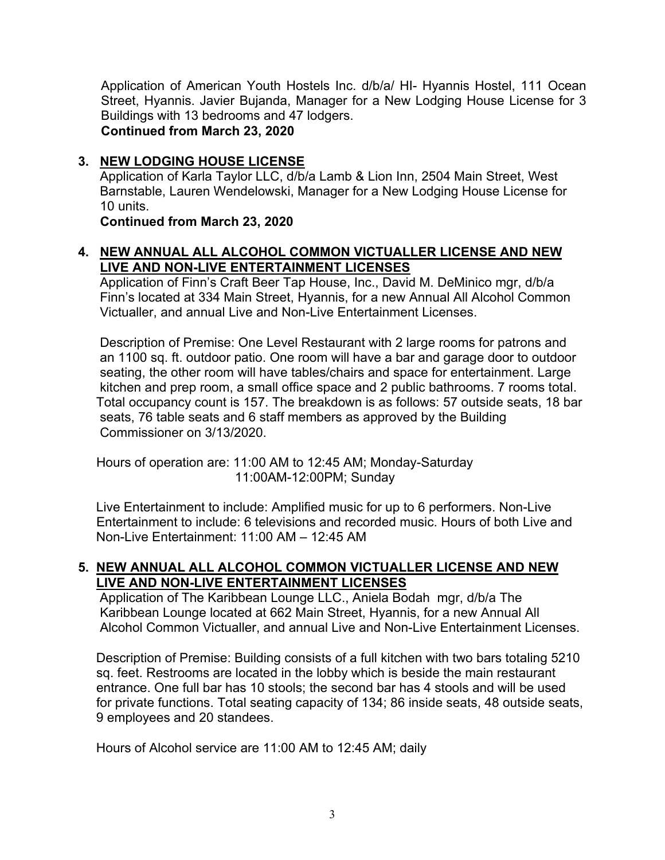Application of American Youth Hostels Inc. d/b/a/ HI- Hyannis Hostel, 111 Ocean Street, Hyannis. Javier Bujanda, Manager for a New Lodging House License for 3 Buildings with 13 bedrooms and 47 lodgers.

**Continued from March 23, 2020** 

### **3. NEW LODGING HOUSE LICENSE**

 Application of Karla Taylor LLC, d/b/a Lamb & Lion Inn, 2504 Main Street, West Barnstable, Lauren Wendelowski, Manager for a New Lodging House License for 10 units.

**Continued from March 23, 2020** 

### **4. NEW ANNUAL ALL ALCOHOL COMMON VICTUALLER LICENSE AND NEW LIVE AND NON-LIVE ENTERTAINMENT LICENSES**

 Application of Finn's Craft Beer Tap House, Inc., David M. DeMinico mgr, d/b/a Finn's located at 334 Main Street, Hyannis, for a new Annual All Alcohol Common Victualler, and annual Live and Non-Live Entertainment Licenses.

 Description of Premise: One Level Restaurant with 2 large rooms for patrons and an 1100 sq. ft. outdoor patio. One room will have a bar and garage door to outdoor seating, the other room will have tables/chairs and space for entertainment. Large kitchen and prep room, a small office space and 2 public bathrooms. 7 rooms total. Total occupancy count is 157. The breakdown is as follows: 57 outside seats, 18 bar seats, 76 table seats and 6 staff members as approved by the Building Commissioner on 3/13/2020.

 Hours of operation are: 11:00 AM to 12:45 AM; Monday-Saturday 11:00AM-12:00PM; Sunday

 Live Entertainment to include: Amplified music for up to 6 performers. Non-Live Entertainment to include: 6 televisions and recorded music. Hours of both Live and Non-Live Entertainment: 11:00 AM – 12:45 AM

### **5. NEW ANNUAL ALL ALCOHOL COMMON VICTUALLER LICENSE AND NEW LIVE AND NON-LIVE ENTERTAINMENT LICENSES**

 Application of The Karibbean Lounge LLC., Aniela Bodah mgr, d/b/a The Karibbean Lounge located at 662 Main Street, Hyannis, for a new Annual All Alcohol Common Victualler, and annual Live and Non-Live Entertainment Licenses.

 Description of Premise: Building consists of a full kitchen with two bars totaling 5210 sq. feet. Restrooms are located in the lobby which is beside the main restaurant entrance. One full bar has 10 stools; the second bar has 4 stools and will be used for private functions. Total seating capacity of 134; 86 inside seats, 48 outside seats, 9 employees and 20 standees.

Hours of Alcohol service are 11:00 AM to 12:45 AM; daily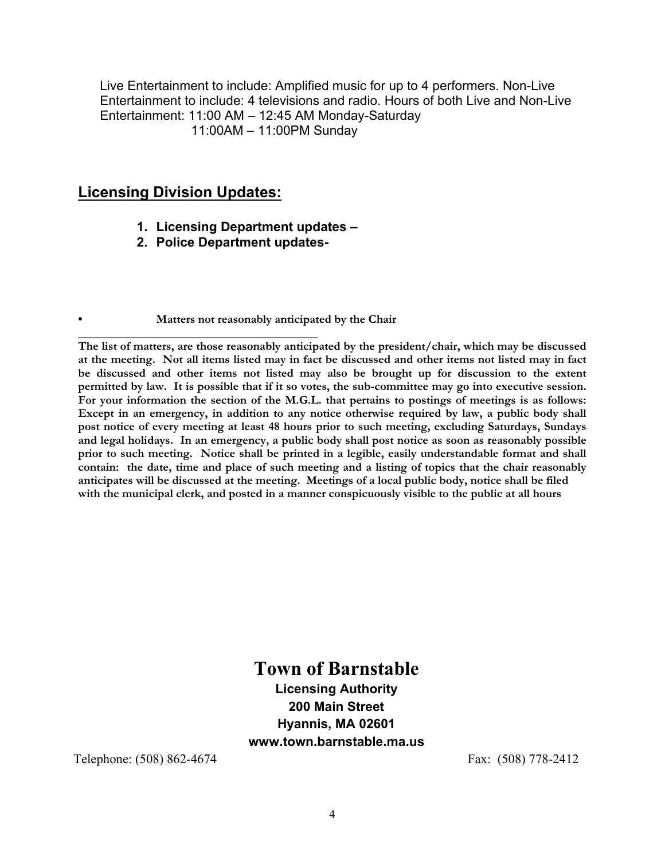Live Entertainment to include: Amplified music for up to 4 performers. Non-Live Entertainment to include: 4 televisions and radio. Hours of both Live and Non-Live Entertainment: 11:00 AM – 12:45 AM Monday-Saturday 11:00AM – 11:00PM Sunday

## **Licensing Division Updates:**

- **1. Licensing Department updates**
- **2. Police Department updates-**

**• Matters not reasonably anticipated by the Chair** 

**\_\_\_\_\_\_\_\_\_\_\_\_\_\_\_\_\_\_\_\_\_\_\_\_\_\_\_\_\_\_\_\_\_\_\_\_\_\_\_\_ The list of matters, are those reasonably anticipated by the president/chair, which may be discussed at the meeting. Not all items listed may in fact be discussed and other items not listed may in fact be discussed and other items not listed may also be brought up for discussion to the extent permitted by law. It is possible that if it so votes, the sub-committee may go into executive session. For your information the section of the M.G.L. that pertains to postings of meetings is as follows: Except in an emergency, in addition to any notice otherwise required by law, a public body shall post notice of every meeting at least 48 hours prior to such meeting, excluding Saturdays, Sundays and legal holidays. In an emergency, a public body shall post notice as soon as reasonably possible prior to such meeting. Notice shall be printed in a legible, easily understandable format and shall contain: the date, time and place of such meeting and a listing of topics that the chair reasonably anticipates will be discussed at the meeting. Meetings of a local public body, notice shall be filed with the municipal clerk, and posted in a manner conspicuously visible to the public at all hours** 

# **Town of Barnstable**

**Licensing Authority 200 Main Street Hyannis, MA 02601 www.town.barnstable.ma.us** 

Telephone: (508) 862-4674 Fax: (508) 778-2412